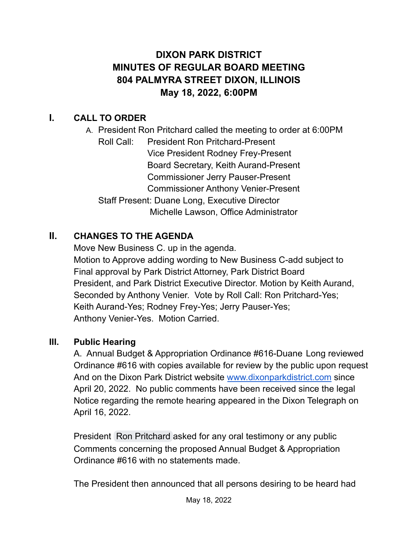# **DIXON PARK DISTRICT MINUTES OF REGULAR BOARD MEETING 804 PALMYRA STREET DIXON, ILLINOIS May 18, 2022, 6:00PM**

# **I. CALL TO ORDER**

A. President Ron Pritchard called the meeting to order at 6:00PM Roll Call: President Ron Pritchard-Present Vice President Rodney Frey-Present Board Secretary, Keith Aurand-Present Commissioner Jerry Pauser-Present Commissioner Anthony Venier-Present Staff Present: Duane Long, Executive Director Michelle Lawson, Office Administrator

# **II. CHANGES TO THE AGENDA**

Move New Business C. up in the agenda. Motion to Approve adding wording to New Business C-add subject to Final approval by Park District Attorney, Park District Board President, and Park District Executive Director. Motion by Keith Aurand, Seconded by Anthony Venier. Vote by Roll Call: Ron Pritchard-Yes; Keith Aurand-Yes; Rodney Frey-Yes; Jerry Pauser-Yes; Anthony Venier-Yes. Motion Carried.

#### **III. Public Hearing**

A. Annual Budget & Appropriation Ordinance #616-Duane Long reviewed Ordinance #616 with copies available for review by the public upon request And on the Dixon Park District website [www.dixonparkdistrict.com](http://www.dixonparkdistrict.com) since April 20, 2022. No public comments have been received since the legal Notice regarding the remote hearing appeared in the Dixon Telegraph on April 16, 2022.

President Ron [Pritchard](mailto:ronpritchard61@gmail.com) asked for any oral testimony or any public Comments concerning the proposed Annual Budget & Appropriation Ordinance #616 with no statements made.

The President then announced that all persons desiring to be heard had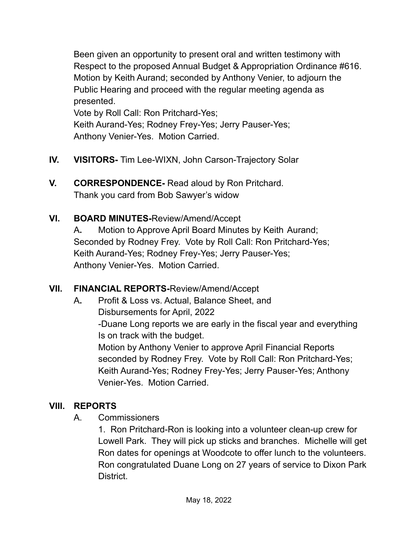Been given an opportunity to present oral and written testimony with Respect to the proposed Annual Budget & Appropriation Ordinance #616. Motion by Keith Aurand; seconded by Anthony Venier, to adjourn the Public Hearing and proceed with the regular meeting agenda as presented.

Vote by Roll Call: Ron Pritchard-Yes; Keith Aurand-Yes; Rodney Frey-Yes; Jerry Pauser-Yes; Anthony Venier-Yes. Motion Carried.

- **IV. VISITORS-** Tim Lee-WIXN, John Carson-Trajectory Solar
- **V. CORRESPONDENCE-** Read aloud by Ron Pritchard. Thank you card from Bob Sawyer's widow
- **VI. BOARD MINUTES-**Review/Amend/Accept

A**.** Motion to Approve April Board Minutes by Keith Aurand; Seconded by Rodney Frey. Vote by Roll Call: Ron Pritchard-Yes; Keith Aurand-Yes; Rodney Frey-Yes; Jerry Pauser-Yes; Anthony Venier-Yes. Motion Carried.

# **VII. FINANCIAL REPORTS-**Review/Amend/Accept

A**.** Profit & Loss vs. Actual, Balance Sheet, and Disbursements for April, 2022 -Duane Long reports we are early in the fiscal year and everything Is on track with the budget. Motion by Anthony Venier to approve April Financial Reports seconded by Rodney Frey. Vote by Roll Call: Ron Pritchard-Yes; Keith Aurand-Yes; Rodney Frey-Yes; Jerry Pauser-Yes; Anthony Venier-Yes. Motion Carried.

# **VIII. REPORTS**

A. Commissioners

1. Ron Pritchard-Ron is looking into a volunteer clean-up crew for Lowell Park. They will pick up sticks and branches. Michelle will get Ron dates for openings at Woodcote to offer lunch to the volunteers. Ron congratulated Duane Long on 27 years of service to Dixon Park District.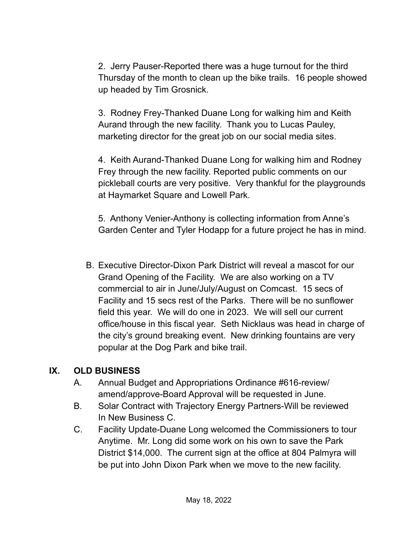2. Jerry Pauser-Reported there was a huge turnout for the third Thursday of the month to clean up the bike trails. 16 people showed up headed by Tim Grosnick.

3. Rodney Frey-Thanked Duane Long for walking him and Keith Aurand through the new facility. Thank you to Lucas Pauley, marketing director for the great job on our social media sites.

4. Keith Aurand-Thanked Duane Long for walking him and Rodney Frey through the new facility. Reported public comments on our pickleball courts are very positive. Very thankful for the playgrounds at Haymarket Square and Lowell Park.

5. Anthony Venier-Anthony is collecting information from Anne's Garden Center and Tyler Hodapp for a future project he has in mind.

B. Executive Director-Dixon Park District will reveal a mascot for our Grand Opening of the Facility. We are also working on a TV commercial to air in June/July/August on Comcast. 15 secs of Facility and 15 secs rest of the Parks. There will be no sunflower field this year. We will do one in 2023. We will sell our current office/house in this fiscal year. Seth Nicklaus was head in charge of the city's ground breaking event. New drinking fountains are very popular at the Dog Park and bike trail.

# **IX. OLD BUSINESS**

- A. Annual Budget and Appropriations Ordinance #616-review/ amend/approve-Board Approval will be requested in June.
- B. Solar Contract with Trajectory Energy Partners-Will be reviewed In New Business C.
- C. Facility Update-Duane Long welcomed the Commissioners to tour Anytime. Mr. Long did some work on his own to save the Park District \$14,000. The current sign at the office at 804 Palmyra will be put into John Dixon Park when we move to the new facility.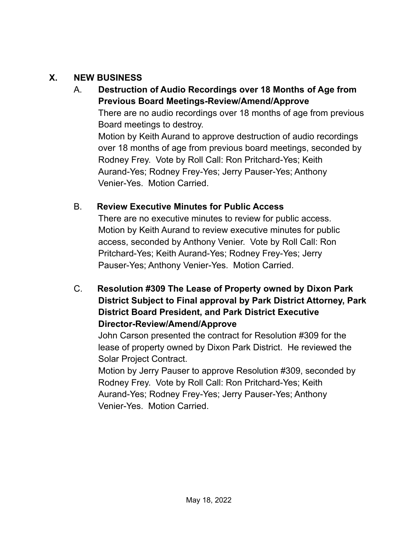#### **X. NEW BUSINESS**

# A. **Destruction of Audio Recordings over 18 Months of Age from Previous Board Meetings-Review/Amend/Approve** There are no audio recordings over 18 months of age from previous Board meetings to destroy. Motion by Keith Aurand to approve destruction of audio recordings over 18 months of age from previous board meetings, seconded by Rodney Frey. Vote by Roll Call: Ron Pritchard-Yes; Keith Aurand-Yes; Rodney Frey-Yes; Jerry Pauser-Yes; Anthony Venier-Yes. Motion Carried.

#### B. **Review Executive Minutes for Public Access**

There are no executive minutes to review for public access. Motion by Keith Aurand to review executive minutes for public access, seconded by Anthony Venier. Vote by Roll Call: Ron Pritchard-Yes; Keith Aurand-Yes; Rodney Frey-Yes; Jerry Pauser-Yes; Anthony Venier-Yes. Motion Carried.

C. **Resolution #309 The Lease of Property owned by Dixon Park District Subject to Final approval by Park District Attorney, Park District Board President, and Park District Executive Director-Review/Amend/Approve**

John Carson presented the contract for Resolution #309 for the lease of property owned by Dixon Park District. He reviewed the Solar Project Contract.

Motion by Jerry Pauser to approve Resolution #309, seconded by Rodney Frey. Vote by Roll Call: Ron Pritchard-Yes; Keith Aurand-Yes; Rodney Frey-Yes; Jerry Pauser-Yes; Anthony Venier-Yes. Motion Carried.